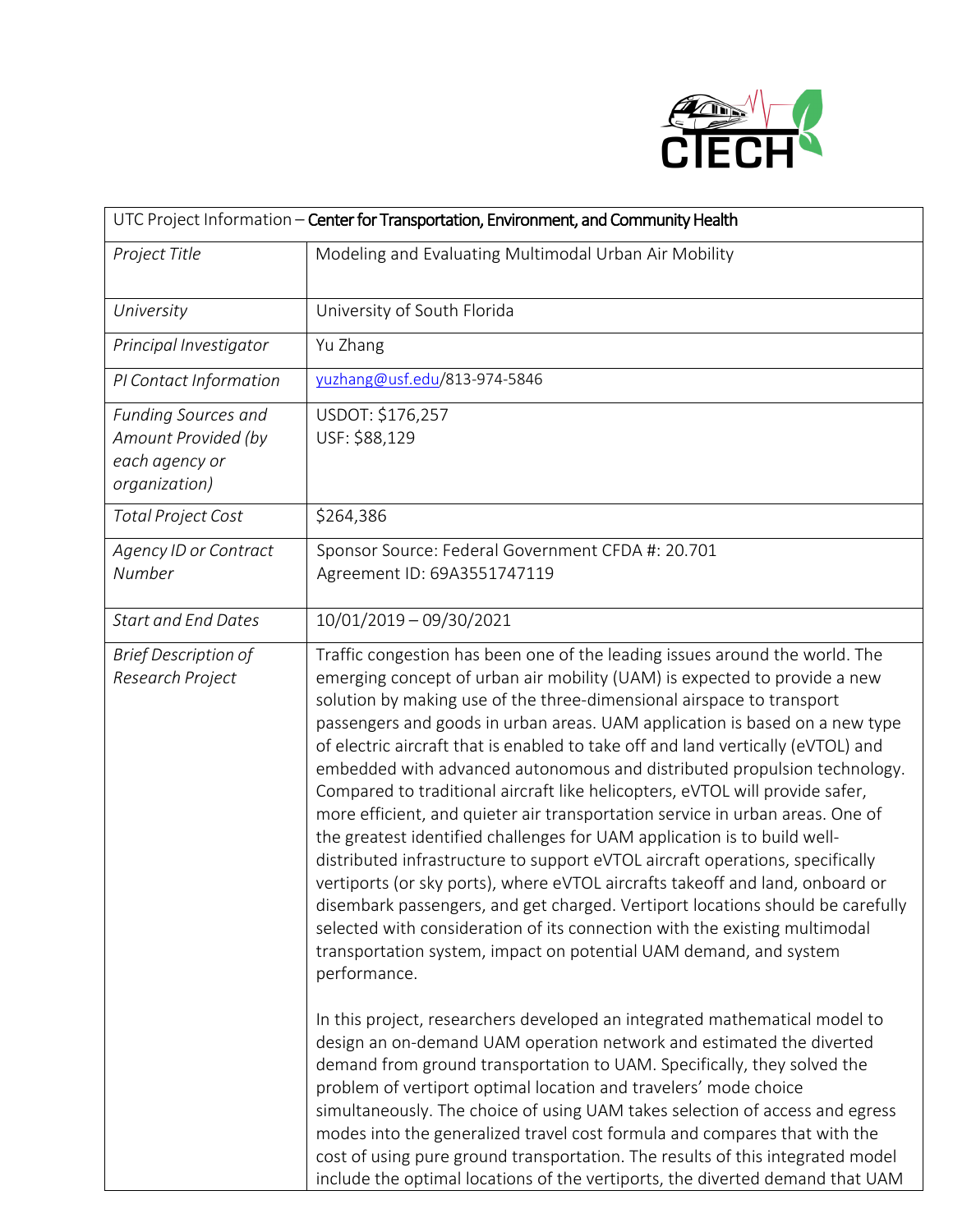

| UTC Project Information - Center for Transportation, Environment, and Community Health |                                                                                                                                                                                                                                                                                                                                                                                                                                                                                                                                                                                                                                                                                                                                                                                                                                                                                                                                                                                                                                                                                                                                                                                                                                                                                                                                                                                                                                                                                                                                                                                                                                                                                                                                                                                           |  |
|----------------------------------------------------------------------------------------|-------------------------------------------------------------------------------------------------------------------------------------------------------------------------------------------------------------------------------------------------------------------------------------------------------------------------------------------------------------------------------------------------------------------------------------------------------------------------------------------------------------------------------------------------------------------------------------------------------------------------------------------------------------------------------------------------------------------------------------------------------------------------------------------------------------------------------------------------------------------------------------------------------------------------------------------------------------------------------------------------------------------------------------------------------------------------------------------------------------------------------------------------------------------------------------------------------------------------------------------------------------------------------------------------------------------------------------------------------------------------------------------------------------------------------------------------------------------------------------------------------------------------------------------------------------------------------------------------------------------------------------------------------------------------------------------------------------------------------------------------------------------------------------------|--|
| Project Title                                                                          | Modeling and Evaluating Multimodal Urban Air Mobility                                                                                                                                                                                                                                                                                                                                                                                                                                                                                                                                                                                                                                                                                                                                                                                                                                                                                                                                                                                                                                                                                                                                                                                                                                                                                                                                                                                                                                                                                                                                                                                                                                                                                                                                     |  |
| University                                                                             | University of South Florida                                                                                                                                                                                                                                                                                                                                                                                                                                                                                                                                                                                                                                                                                                                                                                                                                                                                                                                                                                                                                                                                                                                                                                                                                                                                                                                                                                                                                                                                                                                                                                                                                                                                                                                                                               |  |
| Principal Investigator                                                                 | Yu Zhang                                                                                                                                                                                                                                                                                                                                                                                                                                                                                                                                                                                                                                                                                                                                                                                                                                                                                                                                                                                                                                                                                                                                                                                                                                                                                                                                                                                                                                                                                                                                                                                                                                                                                                                                                                                  |  |
| PI Contact Information                                                                 | yuzhang@usf.edu/813-974-5846                                                                                                                                                                                                                                                                                                                                                                                                                                                                                                                                                                                                                                                                                                                                                                                                                                                                                                                                                                                                                                                                                                                                                                                                                                                                                                                                                                                                                                                                                                                                                                                                                                                                                                                                                              |  |
| Funding Sources and<br>Amount Provided (by<br>each agency or<br>organization)          | USDOT: \$176,257<br>USF: \$88,129                                                                                                                                                                                                                                                                                                                                                                                                                                                                                                                                                                                                                                                                                                                                                                                                                                                                                                                                                                                                                                                                                                                                                                                                                                                                                                                                                                                                                                                                                                                                                                                                                                                                                                                                                         |  |
| <b>Total Project Cost</b>                                                              | \$264,386                                                                                                                                                                                                                                                                                                                                                                                                                                                                                                                                                                                                                                                                                                                                                                                                                                                                                                                                                                                                                                                                                                                                                                                                                                                                                                                                                                                                                                                                                                                                                                                                                                                                                                                                                                                 |  |
| Agency ID or Contract<br>Number                                                        | Sponsor Source: Federal Government CFDA #: 20.701<br>Agreement ID: 69A3551747119                                                                                                                                                                                                                                                                                                                                                                                                                                                                                                                                                                                                                                                                                                                                                                                                                                                                                                                                                                                                                                                                                                                                                                                                                                                                                                                                                                                                                                                                                                                                                                                                                                                                                                          |  |
| <b>Start and End Dates</b>                                                             | 10/01/2019 - 09/30/2021                                                                                                                                                                                                                                                                                                                                                                                                                                                                                                                                                                                                                                                                                                                                                                                                                                                                                                                                                                                                                                                                                                                                                                                                                                                                                                                                                                                                                                                                                                                                                                                                                                                                                                                                                                   |  |
| <b>Brief Description of</b><br>Research Project                                        | Traffic congestion has been one of the leading issues around the world. The<br>emerging concept of urban air mobility (UAM) is expected to provide a new<br>solution by making use of the three-dimensional airspace to transport<br>passengers and goods in urban areas. UAM application is based on a new type<br>of electric aircraft that is enabled to take off and land vertically (eVTOL) and<br>embedded with advanced autonomous and distributed propulsion technology.<br>Compared to traditional aircraft like helicopters, eVTOL will provide safer,<br>more efficient, and quieter air transportation service in urban areas. One of<br>the greatest identified challenges for UAM application is to build well-<br>distributed infrastructure to support eVTOL aircraft operations, specifically<br>vertiports (or sky ports), where eVTOL aircrafts takeoff and land, onboard or<br>disembark passengers, and get charged. Vertiport locations should be carefully<br>selected with consideration of its connection with the existing multimodal<br>transportation system, impact on potential UAM demand, and system<br>performance.<br>In this project, researchers developed an integrated mathematical model to<br>design an on-demand UAM operation network and estimated the diverted<br>demand from ground transportation to UAM. Specifically, they solved the<br>problem of vertiport optimal location and travelers' mode choice<br>simultaneously. The choice of using UAM takes selection of access and egress<br>modes into the generalized travel cost formula and compares that with the<br>cost of using pure ground transportation. The results of this integrated model<br>include the optimal locations of the vertiports, the diverted demand that UAM |  |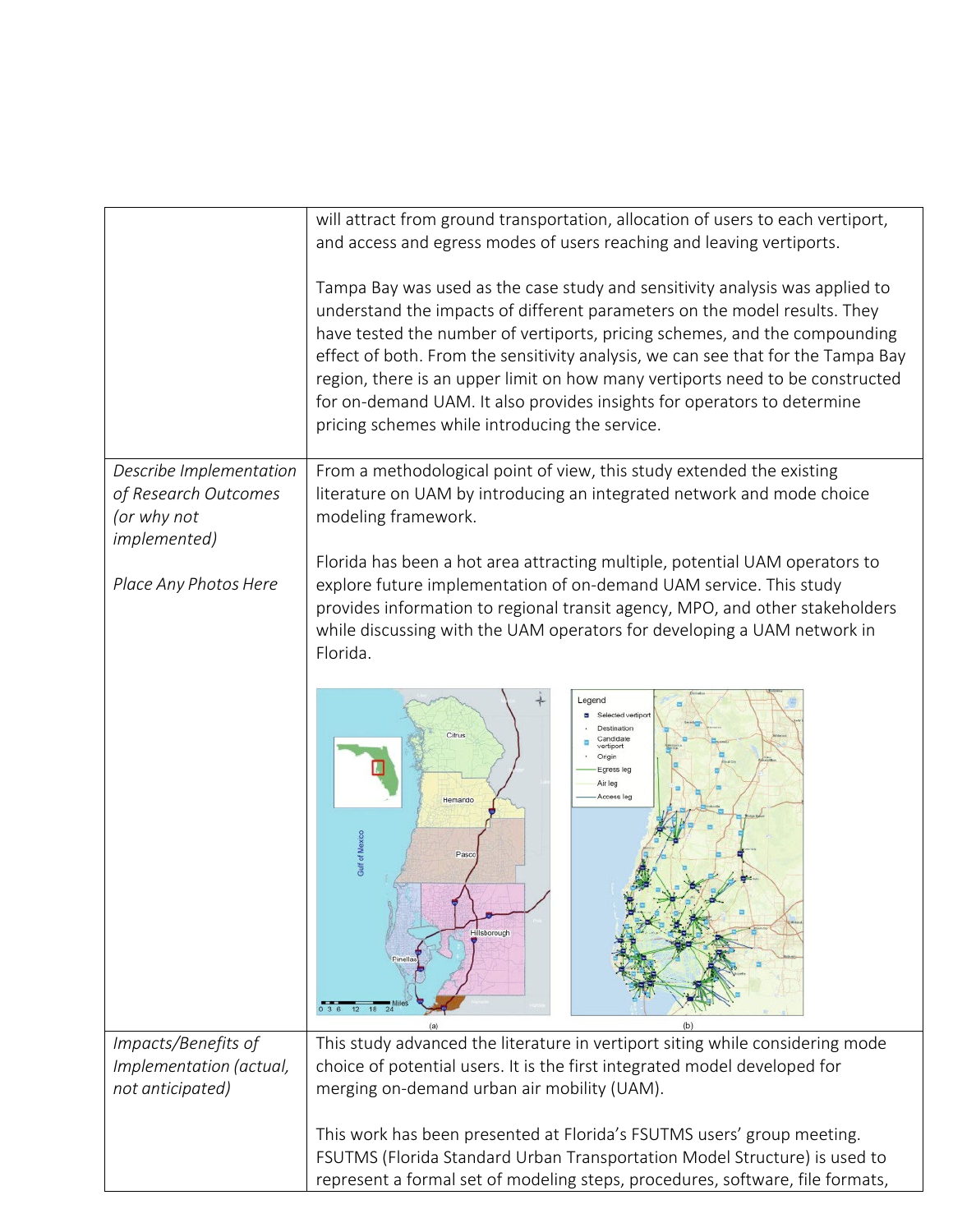|                                                                                        | will attract from ground transportation, allocation of users to each vertiport,<br>and access and egress modes of users reaching and leaving vertiports.                                                                                                                                                                                                                                                                                                                                                                                  |
|----------------------------------------------------------------------------------------|-------------------------------------------------------------------------------------------------------------------------------------------------------------------------------------------------------------------------------------------------------------------------------------------------------------------------------------------------------------------------------------------------------------------------------------------------------------------------------------------------------------------------------------------|
|                                                                                        | Tampa Bay was used as the case study and sensitivity analysis was applied to<br>understand the impacts of different parameters on the model results. They<br>have tested the number of vertiports, pricing schemes, and the compounding<br>effect of both. From the sensitivity analysis, we can see that for the Tampa Bay<br>region, there is an upper limit on how many vertiports need to be constructed<br>for on-demand UAM. It also provides insights for operators to determine<br>pricing schemes while introducing the service. |
| Describe Implementation<br>of Research Outcomes<br>(or why not<br><i>implemented</i> ) | From a methodological point of view, this study extended the existing<br>literature on UAM by introducing an integrated network and mode choice<br>modeling framework.                                                                                                                                                                                                                                                                                                                                                                    |
| Place Any Photos Here                                                                  | Florida has been a hot area attracting multiple, potential UAM operators to<br>explore future implementation of on-demand UAM service. This study<br>provides information to regional transit agency, MPO, and other stakeholders<br>while discussing with the UAM operators for developing a UAM network in<br>Florida.                                                                                                                                                                                                                  |
|                                                                                        | Legend<br>Selected vertipor<br>Destination<br>Citrus<br>Candidate<br>Origin<br>Egress leg<br>Air leg<br>Access leo<br>Hemando<br><b>Gulf of Mexico</b><br>Pasco<br>Hillsborough<br>18                                                                                                                                                                                                                                                                                                                                                     |
| Impacts/Benefits of<br>Implementation (actual,<br>not anticipated)                     | This study advanced the literature in vertiport siting while considering mode<br>choice of potential users. It is the first integrated model developed for<br>merging on-demand urban air mobility (UAM).                                                                                                                                                                                                                                                                                                                                 |
|                                                                                        | This work has been presented at Florida's FSUTMS users' group meeting.<br>FSUTMS (Florida Standard Urban Transportation Model Structure) is used to<br>represent a formal set of modeling steps, procedures, software, file formats,                                                                                                                                                                                                                                                                                                      |